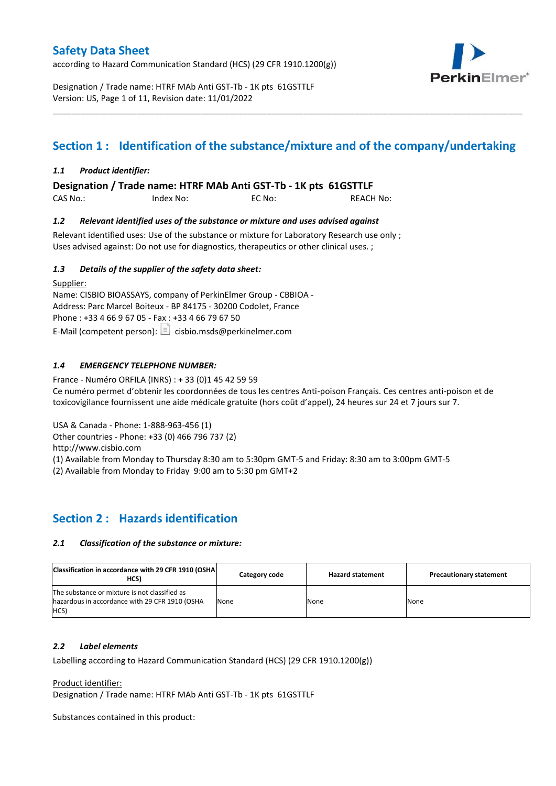according to Hazard Communication Standard (HCS) (29 CFR 1910.1200(g))



Designation / Trade name: HTRF MAb Anti GST-Tb - 1K pts 61GSTTLF Version: US, Page 1 of 11, Revision date: 11/01/2022

# **Section 1 : Identification of the substance/mixture and of the company/undertaking**

\_\_\_\_\_\_\_\_\_\_\_\_\_\_\_\_\_\_\_\_\_\_\_\_\_\_\_\_\_\_\_\_\_\_\_\_\_\_\_\_\_\_\_\_\_\_\_\_\_\_\_\_\_\_\_\_\_\_\_\_\_\_\_\_\_\_\_\_\_\_\_\_\_\_\_\_\_\_\_\_\_\_\_\_\_\_\_\_\_\_\_\_\_\_\_\_\_\_\_\_\_

### *1.1 Product identifier:*

**Designation / Trade name: HTRF MAb Anti GST-Tb - 1K pts 61GSTTLF** 

| CAS No.: | Index No: | EC No: | <b>REACH No:</b> |
|----------|-----------|--------|------------------|
|          |           |        |                  |

### *1.2 Relevant identified uses of the substance or mixture and uses advised against*

Relevant identified uses: Use of the substance or mixture for Laboratory Research use only ; Uses advised against: Do not use for diagnostics, therapeutics or other clinical uses. ;

### *1.3 Details of the supplier of the safety data sheet:*

Supplier: Name: CISBIO BIOASSAYS, company of PerkinElmer Group - CBBIOA - Address: Parc Marcel Boiteux - BP 84175 - 30200 Codolet, France Phone : +33 4 66 9 67 05 - Fax : +33 4 66 79 67 50 E-Mail (competent person):  $\boxed{\equiv}$  cisbio.msds@perkinelmer.com

### *1.4 EMERGENCY TELEPHONE NUMBER:*

France - Numéro ORFILA (INRS) : + 33 (0)1 45 42 59 59 Ce numéro permet d'obtenir les coordonnées de tous les centres Anti-poison Français. Ces centres anti-poison et de toxicovigilance fournissent une aide médicale gratuite (hors coût d'appel), 24 heures sur 24 et 7 jours sur 7.

USA & Canada - Phone: 1-888-963-456 (1)

Other countries - Phone: +33 (0) 466 796 737 (2)

http://www.cisbio.com

(1) Available from Monday to Thursday 8:30 am to 5:30pm GMT-5 and Friday: 8:30 am to 3:00pm GMT-5

(2) Available from Monday to Friday 9:00 am to 5:30 pm GMT+2

# **Section 2 : Hazards identification**

#### *2.1 Classification of the substance or mixture:*

| Classification in accordance with 29 CFR 1910 (OSHA)<br>HCS)                                            | Category code | <b>Hazard statement</b> | <b>Precautionary statement</b> |
|---------------------------------------------------------------------------------------------------------|---------------|-------------------------|--------------------------------|
| The substance or mixture is not classified as<br>hazardous in accordance with 29 CFR 1910 (OSHA<br>HCS) | None          | None                    | None                           |

#### *2.2 Label elements*

Labelling according to Hazard Communication Standard (HCS) (29 CFR 1910.1200(g))

Product identifier:

Designation / Trade name: HTRF MAb Anti GST-Tb - 1K pts 61GSTTLF

Substances contained in this product: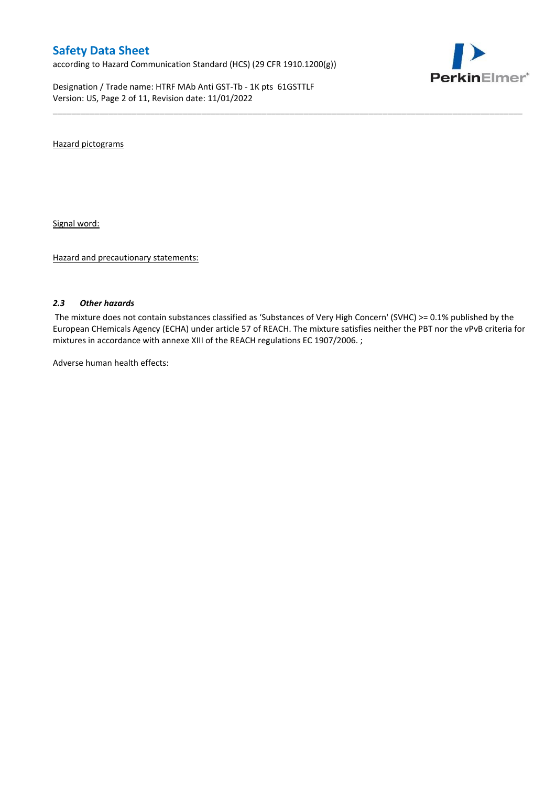according to Hazard Communication Standard (HCS) (29 CFR 1910.1200(g))

Designation / Trade name: HTRF MAb Anti GST-Tb - 1K pts 61GSTTLF Version: US, Page 2 of 11, Revision date: 11/01/2022



Hazard pictograms

Signal word:

Hazard and precautionary statements:

#### *2.3 Other hazards*

The mixture does not contain substances classified as 'Substances of Very High Concern' (SVHC) >= 0.1% published by the European CHemicals Agency (ECHA) under article 57 of REACH. The mixture satisfies neither the PBT nor the vPvB criteria for mixtures in accordance with annexe XIII of the REACH regulations EC 1907/2006. ;

\_\_\_\_\_\_\_\_\_\_\_\_\_\_\_\_\_\_\_\_\_\_\_\_\_\_\_\_\_\_\_\_\_\_\_\_\_\_\_\_\_\_\_\_\_\_\_\_\_\_\_\_\_\_\_\_\_\_\_\_\_\_\_\_\_\_\_\_\_\_\_\_\_\_\_\_\_\_\_\_\_\_\_\_\_\_\_\_\_\_\_\_\_\_\_\_\_\_\_\_\_

Adverse human health effects: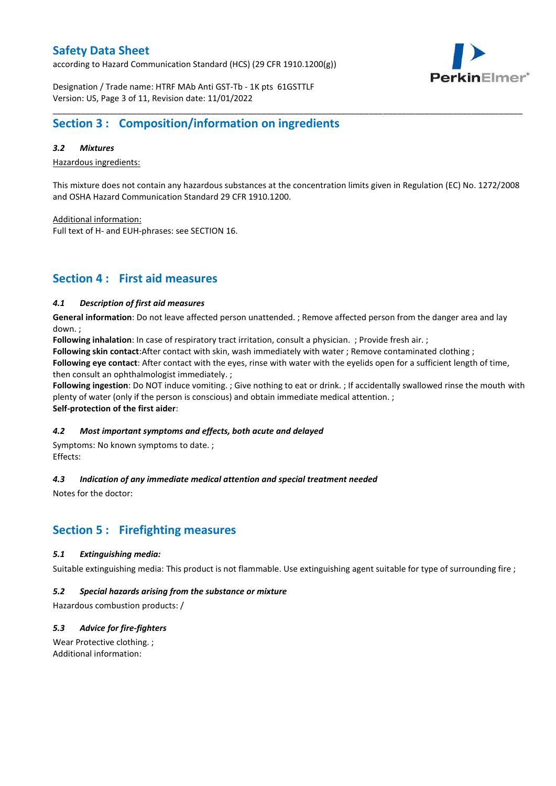according to Hazard Communication Standard (HCS) (29 CFR 1910.1200(g))



Designation / Trade name: HTRF MAb Anti GST-Tb - 1K pts 61GSTTLF Version: US, Page 3 of 11, Revision date: 11/01/2022

### **Section 3 : Composition/information on ingredients**

### *3.2 Mixtures*

Hazardous ingredients:

This mixture does not contain any hazardous substances at the concentration limits given in Regulation (EC) No. 1272/2008 and OSHA Hazard Communication Standard 29 CFR 1910.1200.

\_\_\_\_\_\_\_\_\_\_\_\_\_\_\_\_\_\_\_\_\_\_\_\_\_\_\_\_\_\_\_\_\_\_\_\_\_\_\_\_\_\_\_\_\_\_\_\_\_\_\_\_\_\_\_\_\_\_\_\_\_\_\_\_\_\_\_\_\_\_\_\_\_\_\_\_\_\_\_\_\_\_\_\_\_\_\_\_\_\_\_\_\_\_\_\_\_\_\_\_\_

Additional information:

Full text of H- and EUH-phrases: see SECTION 16.

### **Section 4 : First aid measures**

### *4.1 Description of first aid measures*

**General information**: Do not leave affected person unattended. ; Remove affected person from the danger area and lay down. ;

**Following inhalation**: In case of respiratory tract irritation, consult a physician. ; Provide fresh air. ;

**Following skin contact**:After contact with skin, wash immediately with water ; Remove contaminated clothing ;

**Following eye contact**: After contact with the eyes, rinse with water with the eyelids open for a sufficient length of time, then consult an ophthalmologist immediately. ;

**Following ingestion**: Do NOT induce vomiting. ; Give nothing to eat or drink. ; If accidentally swallowed rinse the mouth with plenty of water (only if the person is conscious) and obtain immediate medical attention. ; **Self-protection of the first aider**:

#### *4.2 Most important symptoms and effects, both acute and delayed*

Symptoms: No known symptoms to date. ; Effects:

### *4.3 Indication of any immediate medical attention and special treatment needed*

Notes for the doctor:

# **Section 5 : Firefighting measures**

#### *5.1 Extinguishing media:*

Suitable extinguishing media: This product is not flammable. Use extinguishing agent suitable for type of surrounding fire ;

#### *5.2 Special hazards arising from the substance or mixture*

Hazardous combustion products: /

### *5.3 Advice for fire-fighters*

Wear Protective clothing. ; Additional information: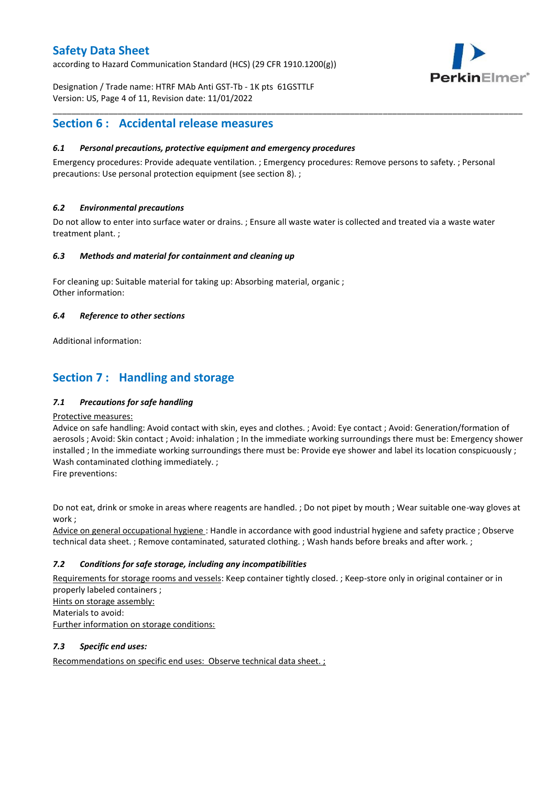according to Hazard Communication Standard (HCS) (29 CFR 1910.1200(g))



Designation / Trade name: HTRF MAb Anti GST-Tb - 1K pts 61GSTTLF Version: US, Page 4 of 11, Revision date: 11/01/2022

### **Section 6 : Accidental release measures**

### *6.1 Personal precautions, protective equipment and emergency procedures*

Emergency procedures: Provide adequate ventilation. ; Emergency procedures: Remove persons to safety. ; Personal precautions: Use personal protection equipment (see section 8). ;

\_\_\_\_\_\_\_\_\_\_\_\_\_\_\_\_\_\_\_\_\_\_\_\_\_\_\_\_\_\_\_\_\_\_\_\_\_\_\_\_\_\_\_\_\_\_\_\_\_\_\_\_\_\_\_\_\_\_\_\_\_\_\_\_\_\_\_\_\_\_\_\_\_\_\_\_\_\_\_\_\_\_\_\_\_\_\_\_\_\_\_\_\_\_\_\_\_\_\_\_\_

### *6.2 Environmental precautions*

Do not allow to enter into surface water or drains. ; Ensure all waste water is collected and treated via a waste water treatment plant. ;

#### *6.3 Methods and material for containment and cleaning up*

For cleaning up: Suitable material for taking up: Absorbing material, organic ; Other information:

### *6.4 Reference to other sections*

Additional information:

# **Section 7 : Handling and storage**

### *7.1 Precautions for safe handling*

#### Protective measures:

Advice on safe handling: Avoid contact with skin, eyes and clothes. ; Avoid: Eye contact ; Avoid: Generation/formation of aerosols ; Avoid: Skin contact ; Avoid: inhalation ; In the immediate working surroundings there must be: Emergency shower installed ; In the immediate working surroundings there must be: Provide eye shower and label its location conspicuously; Wash contaminated clothing immediately. ;

Fire preventions:

Do not eat, drink or smoke in areas where reagents are handled. ; Do not pipet by mouth ; Wear suitable one-way gloves at work ;

Advice on general occupational hygiene : Handle in accordance with good industrial hygiene and safety practice ; Observe technical data sheet. ; Remove contaminated, saturated clothing. ; Wash hands before breaks and after work. ;

### *7.2 Conditions for safe storage, including any incompatibilities*

Requirements for storage rooms and vessels: Keep container tightly closed. ; Keep-store only in original container or in properly labeled containers ; Hints on storage assembly: Materials to avoid:

Further information on storage conditions:

### *7.3 Specific end uses:*

Recommendations on specific end uses: Observe technical data sheet. ;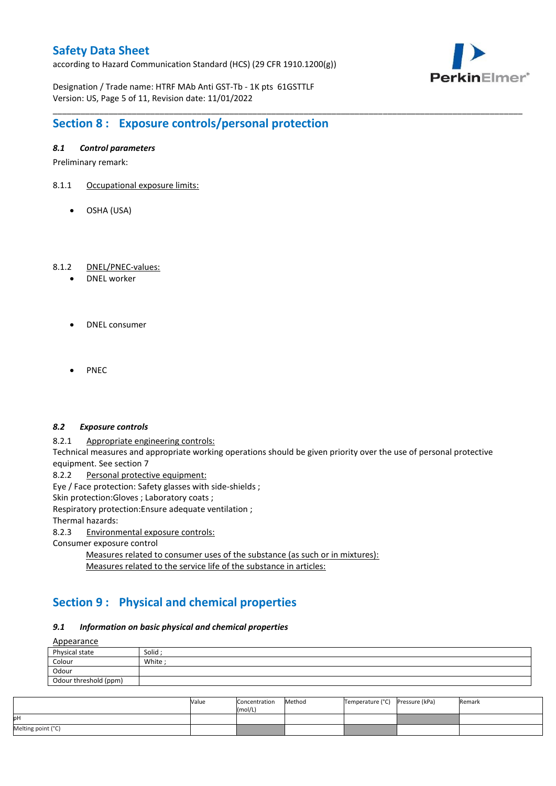according to Hazard Communication Standard (HCS) (29 CFR 1910.1200(g))



Designation / Trade name: HTRF MAb Anti GST-Tb - 1K pts 61GSTTLF Version: US, Page 5 of 11, Revision date: 11/01/2022

# **Section 8 : Exposure controls/personal protection**

### *8.1 Control parameters*

Preliminary remark:

- 8.1.1 Occupational exposure limits:
	- OSHA (USA)

### 8.1.2 DNEL/PNEC-values:

- DNEL worker
- DNEL consumer
- PNEC

#### *8.2 Exposure controls*

8.2.1 Appropriate engineering controls:

Technical measures and appropriate working operations should be given priority over the use of personal protective equipment. See section 7

\_\_\_\_\_\_\_\_\_\_\_\_\_\_\_\_\_\_\_\_\_\_\_\_\_\_\_\_\_\_\_\_\_\_\_\_\_\_\_\_\_\_\_\_\_\_\_\_\_\_\_\_\_\_\_\_\_\_\_\_\_\_\_\_\_\_\_\_\_\_\_\_\_\_\_\_\_\_\_\_\_\_\_\_\_\_\_\_\_\_\_\_\_\_\_\_\_\_\_\_\_

8.2.2 Personal protective equipment:

Eye / Face protection: Safety glasses with side-shields ;

Skin protection: Gloves ; Laboratory coats ;

Respiratory protection:Ensure adequate ventilation ;

Thermal hazards:

8.2.3 Environmental exposure controls:

Consumer exposure control

Measures related to consumer uses of the substance (as such or in mixtures): Measures related to the service life of the substance in articles:

# **Section 9 : Physical and chemical properties**

#### *9.1 Information on basic physical and chemical properties*

**A**ppearance

| $\frac{A_{\text{p}}}{A_{\text{p}}}$ |         |  |  |  |  |
|-------------------------------------|---------|--|--|--|--|
| Physical state                      | Solid ; |  |  |  |  |
| Colour                              | White:  |  |  |  |  |
| Odour                               |         |  |  |  |  |
| Odour threshold (ppm)               |         |  |  |  |  |

|                    | Value | Concentration<br>(mol/L) | Method | Temperature (°C) Pressure (kPa) | Remark |
|--------------------|-------|--------------------------|--------|---------------------------------|--------|
| pН                 |       |                          |        |                                 |        |
| Melting point (°C) |       |                          |        |                                 |        |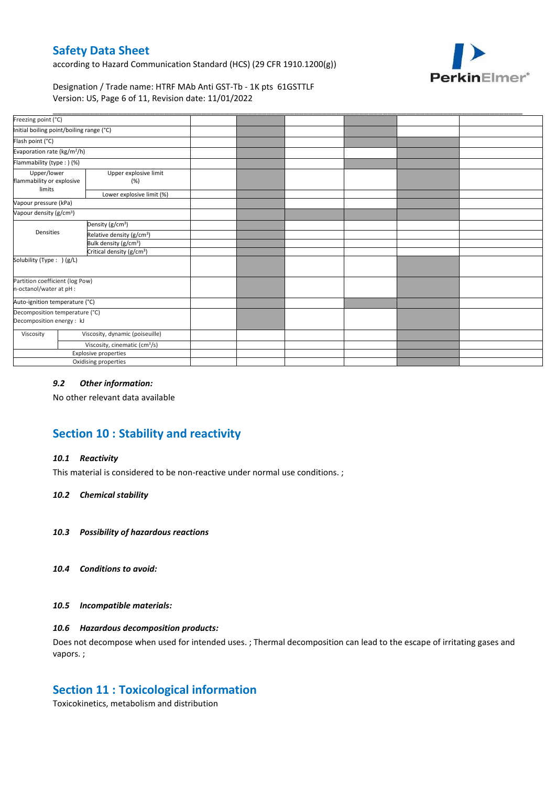according to Hazard Communication Standard (HCS) (29 CFR 1910.1200(g))



Designation / Trade name: HTRF MAb Anti GST-Tb - 1K pts 61GSTTLF Version: US, Page 6 of 11, Revision date: 11/01/2022

| Freezing point (°C)                                         |                                           |                                       |  |  |  |
|-------------------------------------------------------------|-------------------------------------------|---------------------------------------|--|--|--|
| Initial boiling point/boiling range (°C)                    |                                           |                                       |  |  |  |
| Flash point (°C)                                            |                                           |                                       |  |  |  |
| Evaporation rate (kg/m <sup>2</sup> /h)                     |                                           |                                       |  |  |  |
| Flammability (type:) (%)                                    |                                           |                                       |  |  |  |
| Upper/lower<br>flammability or explosive<br>limits          |                                           | Upper explosive limit<br>(%)          |  |  |  |
|                                                             |                                           | Lower explosive limit (%)             |  |  |  |
| Vapour pressure (kPa)                                       |                                           |                                       |  |  |  |
| Vapour density (g/cm <sup>3</sup> )                         |                                           |                                       |  |  |  |
|                                                             |                                           | Density (g/cm <sup>3</sup> )          |  |  |  |
| Densities                                                   |                                           | Relative density (g/cm <sup>3</sup> ) |  |  |  |
|                                                             |                                           | Bulk density (g/cm <sup>3</sup> )     |  |  |  |
|                                                             |                                           | Critical density (g/cm <sup>3</sup> ) |  |  |  |
| Solubility (Type: ) (g/L)                                   |                                           |                                       |  |  |  |
| Partition coefficient (log Pow)<br>n-octanol/water at pH :  |                                           |                                       |  |  |  |
| Auto-ignition temperature (°C)                              |                                           |                                       |  |  |  |
| Decomposition temperature (°C)<br>Decomposition energy : kJ |                                           |                                       |  |  |  |
| Viscosity                                                   |                                           | Viscosity, dynamic (poiseuille)       |  |  |  |
|                                                             | Viscosity, cinematic (cm <sup>3</sup> /s) |                                       |  |  |  |
|                                                             |                                           | Explosive properties                  |  |  |  |
|                                                             |                                           | Oxidising properties                  |  |  |  |

### *9.2 Other information:*

No other relevant data available

# **Section 10 : Stability and reactivity**

#### *10.1 Reactivity*

This material is considered to be non-reactive under normal use conditions. ;

#### *10.2 Chemical stability*

- *10.3 Possibility of hazardous reactions*
- *10.4 Conditions to avoid:*

#### *10.5 Incompatible materials:*

### *10.6 Hazardous decomposition products:*

Does not decompose when used for intended uses. ; Thermal decomposition can lead to the escape of irritating gases and vapors. ;

### **Section 11 : Toxicological information**

Toxicokinetics, metabolism and distribution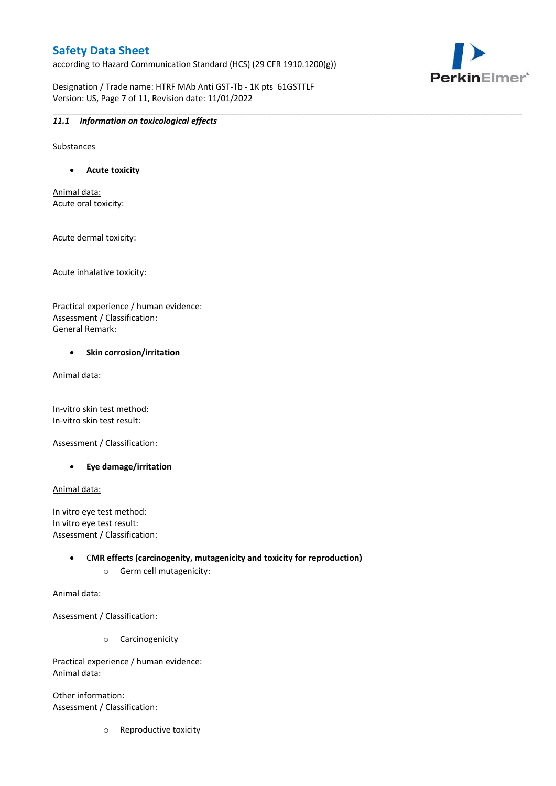according to Hazard Communication Standard (HCS) (29 CFR 1910.1200(g))

\_\_\_\_\_\_\_\_\_\_\_\_\_\_\_\_\_\_\_\_\_\_\_\_\_\_\_\_\_\_\_\_\_\_\_\_\_\_\_\_\_\_\_\_\_\_\_\_\_\_\_\_\_\_\_\_\_\_\_\_\_\_\_\_\_\_\_\_\_\_\_\_\_\_\_\_\_\_\_\_\_\_\_\_\_\_\_\_\_\_\_\_\_\_\_\_\_\_\_\_\_

PerkinElmer®

Designation / Trade name: HTRF MAb Anti GST-Tb - 1K pts 61GSTTLF Version: US, Page 7 of 11, Revision date: 11/01/2022

### *11.1 Information on toxicological effects*

Substances

**Acute toxicity**

Animal data: Acute oral toxicity:

Acute dermal toxicity:

Acute inhalative toxicity:

Practical experience / human evidence: Assessment / Classification: General Remark:

#### **•** Skin corrosion/irritation

Animal data:

In-vitro skin test method: In-vitro skin test result:

Assessment / Classification:

**Eye damage/irritation**

Animal data:

In vitro eye test method: In vitro eye test result: Assessment / Classification:

> C**MR effects (carcinogenity, mutagenicity and toxicity for reproduction)** o Germ cell mutagenicity:

Animal data:

Assessment / Classification:

o Carcinogenicity

Practical experience / human evidence: Animal data:

Other information: Assessment / Classification:

o Reproductive toxicity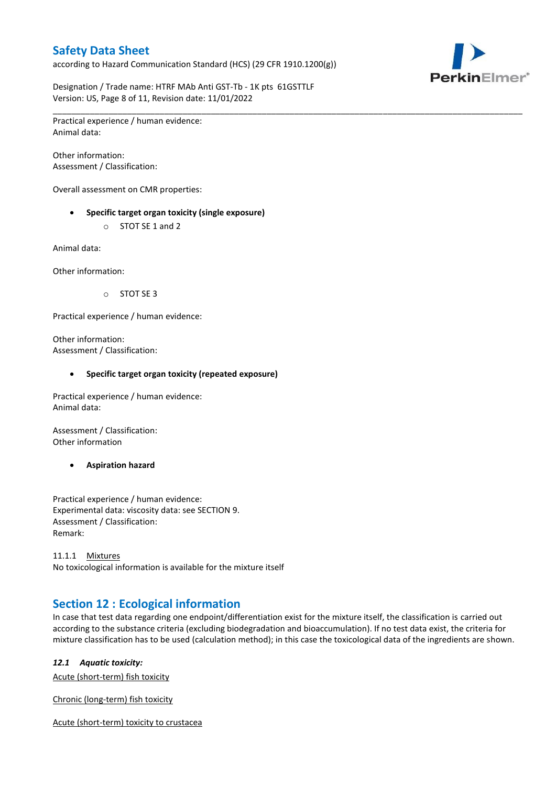according to Hazard Communication Standard (HCS) (29 CFR 1910.1200(g))



Designation / Trade name: HTRF MAb Anti GST-Tb - 1K pts 61GSTTLF Version: US, Page 8 of 11, Revision date: 11/01/2022

\_\_\_\_\_\_\_\_\_\_\_\_\_\_\_\_\_\_\_\_\_\_\_\_\_\_\_\_\_\_\_\_\_\_\_\_\_\_\_\_\_\_\_\_\_\_\_\_\_\_\_\_\_\_\_\_\_\_\_\_\_\_\_\_\_\_\_\_\_\_\_\_\_\_\_\_\_\_\_\_\_\_\_\_\_\_\_\_\_\_\_\_\_\_\_\_\_\_\_\_\_ Practical experience / human evidence: Animal data:

Other information: Assessment / Classification:

Overall assessment on CMR properties:

- **Specific target organ toxicity (single exposure)**
	- o STOT SE 1 and 2

Animal data:

Other information:

o STOT SE 3

Practical experience / human evidence:

Other information: Assessment / Classification:

#### **Specific target organ toxicity (repeated exposure)**

Practical experience / human evidence: Animal data:

Assessment / Classification: Other information

**Aspiration hazard**

Practical experience / human evidence: Experimental data: viscosity data: see SECTION 9. Assessment / Classification: Remark:

11.1.1 Mixtures No toxicological information is available for the mixture itself

# **Section 12 : Ecological information**

In case that test data regarding one endpoint/differentiation exist for the mixture itself, the classification is carried out according to the substance criteria (excluding biodegradation and bioaccumulation). If no test data exist, the criteria for mixture classification has to be used (calculation method); in this case the toxicological data of the ingredients are shown.

#### *12.1 Aquatic toxicity:*

Acute (short-term) fish toxicity

Chronic (long-term) fish toxicity

Acute (short-term) toxicity to crustacea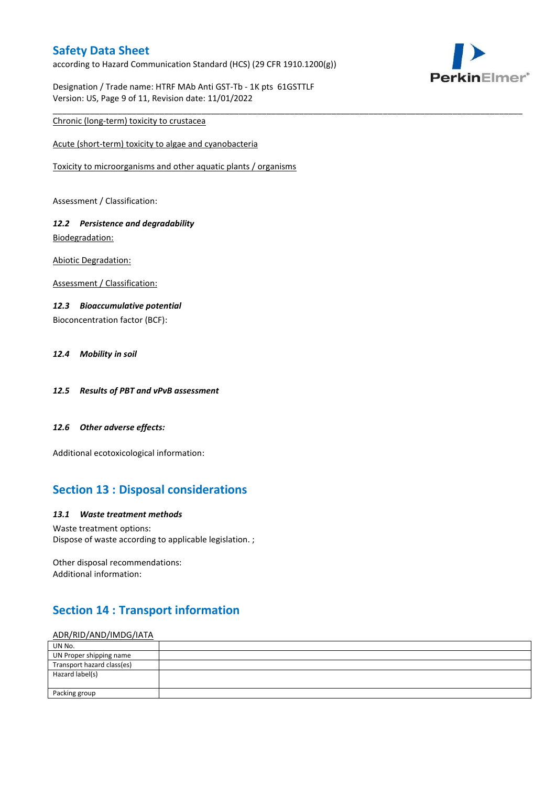according to Hazard Communication Standard (HCS) (29 CFR 1910.1200(g))

\_\_\_\_\_\_\_\_\_\_\_\_\_\_\_\_\_\_\_\_\_\_\_\_\_\_\_\_\_\_\_\_\_\_\_\_\_\_\_\_\_\_\_\_\_\_\_\_\_\_\_\_\_\_\_\_\_\_\_\_\_\_\_\_\_\_\_\_\_\_\_\_\_\_\_\_\_\_\_\_\_\_\_\_\_\_\_\_\_\_\_\_\_\_\_\_\_\_\_\_\_



Designation / Trade name: HTRF MAb Anti GST-Tb - 1K pts 61GSTTLF Version: US, Page 9 of 11, Revision date: 11/01/2022

### Chronic (long-term) toxicity to crustacea

Acute (short-term) toxicity to algae and cyanobacteria

Toxicity to microorganisms and other aquatic plants / organisms

Assessment / Classification:

### *12.2 Persistence and degradability* Biodegradation:

Abiotic Degradation:

Assessment / Classification:

### *12.3 Bioaccumulative potential*

Bioconcentration factor (BCF):

### *12.4 Mobility in soil*

- *12.5 Results of PBT and vPvB assessment*
- *12.6 Other adverse effects:*

Additional ecotoxicological information:

# **Section 13 : Disposal considerations**

#### *13.1 Waste treatment methods*

Waste treatment options: Dispose of waste according to applicable legislation. ;

Other disposal recommendations: Additional information:

# **Section 14 : Transport information**

#### ADR/RID/AND/IMDG/IATA

| UN No.                     |  |
|----------------------------|--|
| UN Proper shipping name    |  |
| Transport hazard class(es) |  |
| Hazard label(s)            |  |
|                            |  |
| Packing group              |  |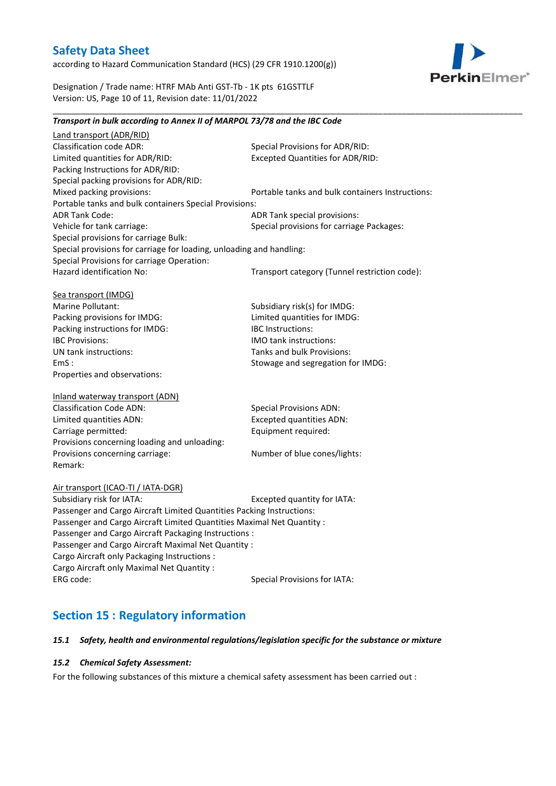according to Hazard Communication Standard (HCS) (29 CFR 1910.1200(g))



Designation / Trade name: HTRF MAb Anti GST-Tb - 1K pts 61GSTTLF Version: US, Page 10 of 11, Revision date: 11/01/2022

### *Transport in bulk according to Annex II of MARPOL 73/78 and the IBC Code*

\_\_\_\_\_\_\_\_\_\_\_\_\_\_\_\_\_\_\_\_\_\_\_\_\_\_\_\_\_\_\_\_\_\_\_\_\_\_\_\_\_\_\_\_\_\_\_\_\_\_\_\_\_\_\_\_\_\_\_\_\_\_\_\_\_\_\_\_\_\_\_\_\_\_\_\_\_\_\_\_\_\_\_\_\_\_\_\_\_\_\_\_\_\_\_\_\_\_\_\_\_

Land transport (ADR/RID) Classification code ADR: Special Provisions for ADR/RID:<br>
Limited quantities for ADR/RID: Excepted Quantities for ADR/RI Excepted Quantities for ADR/RID: Packing Instructions for ADR/RID: Special packing provisions for ADR/RID: Mixed packing provisions: Portable tanks and bulk containers Instructions: Portable tanks and bulk containers Special Provisions: ADR Tank Code: ADR Tank special provisions: Vehicle for tank carriage:  $S$  Special provisions for carriage Packages: Special provisions for carriage Bulk: Special provisions for carriage for loading, unloading and handling: Special Provisions for carriage Operation: Hazard identification No: Transport category (Tunnel restriction code): Sea transport (IMDG) Marine Pollutant: Subsidiary risk(s) for IMDG: Packing provisions for IMDG: Limited quantities for IMDG: Packing instructions for IMDG: IBC Instructions: IBC Provisions: IMO tank instructions: UN tank instructions: Tanks and bulk Provisions: EmS : Stowage and segregation for IMDG: Properties and observations: Inland waterway transport (ADN) Classification Code ADN: Special Provisions ADN: Limited quantities ADN: Excepted quantities ADN: Carriage permitted: Carriage permitted: Provisions concerning loading and unloading: Provisions concerning carriage: Number of blue cones/lights: Remark: Air transport (ICAO-TI / IATA-DGR) Subsidiary risk for IATA: Excepted quantity for IATA: Passenger and Cargo Aircraft Limited Quantities Packing Instructions: Passenger and Cargo Aircraft Limited Quantities Maximal Net Quantity : Passenger and Cargo Aircraft Packaging Instructions : Passenger and Cargo Aircraft Maximal Net Quantity : Cargo Aircraft only Packaging Instructions : Cargo Aircraft only Maximal Net Quantity : ERG code: Special Provisions for IATA:

# **Section 15 : Regulatory information**

#### *15.1 Safety, health and environmental regulations/legislation specific for the substance or mixture*

#### *15.2 Chemical Safety Assessment:*

For the following substances of this mixture a chemical safety assessment has been carried out :